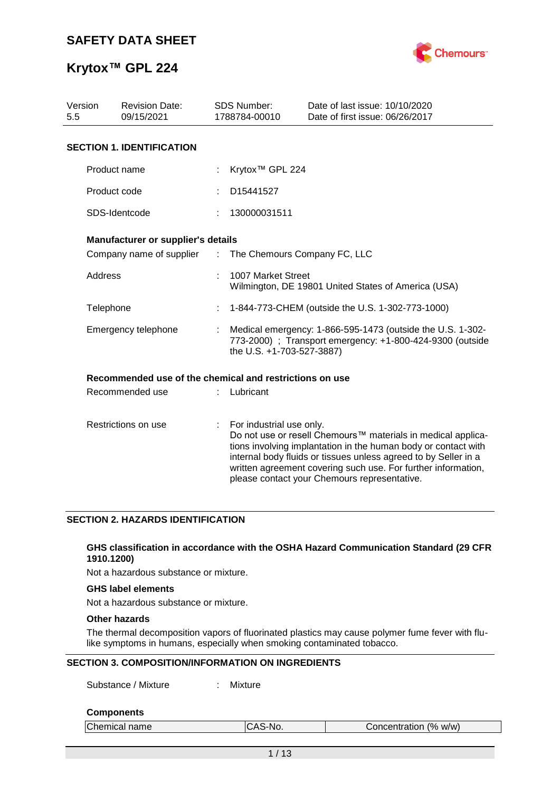

| Version<br>5.5      | <b>Revision Date:</b><br>09/15/2021                     |                               | <b>SDS Number:</b><br>1788784-00010                                                                                                                  | Date of last issue: 10/10/2020<br>Date of first issue: 06/26/2017                                                                                                                                                                                                                                                  |  |  |  |
|---------------------|---------------------------------------------------------|-------------------------------|------------------------------------------------------------------------------------------------------------------------------------------------------|--------------------------------------------------------------------------------------------------------------------------------------------------------------------------------------------------------------------------------------------------------------------------------------------------------------------|--|--|--|
|                     | <b>SECTION 1. IDENTIFICATION</b>                        |                               |                                                                                                                                                      |                                                                                                                                                                                                                                                                                                                    |  |  |  |
|                     | Product name                                            |                               | Krytox <sup>™</sup> GPL 224                                                                                                                          |                                                                                                                                                                                                                                                                                                                    |  |  |  |
|                     | Product code                                            |                               | D15441527                                                                                                                                            |                                                                                                                                                                                                                                                                                                                    |  |  |  |
|                     | SDS-Identcode                                           |                               | 130000031511                                                                                                                                         |                                                                                                                                                                                                                                                                                                                    |  |  |  |
|                     | Manufacturer or supplier's details                      |                               |                                                                                                                                                      |                                                                                                                                                                                                                                                                                                                    |  |  |  |
|                     | Company name of supplier                                | $\mathcal{I}^{\mathcal{I}}$ . | The Chemours Company FC, LLC                                                                                                                         |                                                                                                                                                                                                                                                                                                                    |  |  |  |
|                     | Address                                                 |                               | 1007 Market Street<br>Wilmington, DE 19801 United States of America (USA)                                                                            |                                                                                                                                                                                                                                                                                                                    |  |  |  |
|                     | Telephone                                               |                               | 1-844-773-CHEM (outside the U.S. 1-302-773-1000)                                                                                                     |                                                                                                                                                                                                                                                                                                                    |  |  |  |
|                     | Emergency telephone                                     |                               | Medical emergency: 1-866-595-1473 (outside the U.S. 1-302-<br>773-2000) ; Transport emergency: +1-800-424-9300 (outside<br>the U.S. +1-703-527-3887) |                                                                                                                                                                                                                                                                                                                    |  |  |  |
|                     | Recommended use of the chemical and restrictions on use |                               |                                                                                                                                                      |                                                                                                                                                                                                                                                                                                                    |  |  |  |
|                     | Recommended use                                         |                               | Lubricant                                                                                                                                            |                                                                                                                                                                                                                                                                                                                    |  |  |  |
| Restrictions on use |                                                         | ÷                             | For industrial use only.                                                                                                                             | Do not use or resell Chemours™ materials in medical applica-<br>tions involving implantation in the human body or contact with<br>internal body fluids or tissues unless agreed to by Seller in a<br>written agreement covering such use. For further information,<br>please contact your Chemours representative. |  |  |  |

### **SECTION 2. HAZARDS IDENTIFICATION**

### **GHS classification in accordance with the OSHA Hazard Communication Standard (29 CFR 1910.1200)**

Not a hazardous substance or mixture.

### **GHS label elements**

Not a hazardous substance or mixture.

### **Other hazards**

The thermal decomposition vapors of fluorinated plastics may cause polymer fume fever with flulike symptoms in humans, especially when smoking contaminated tobacco.

### **SECTION 3. COMPOSITION/INFORMATION ON INGREDIENTS**

Substance / Mixture : Mixture

#### **Components**

| Chemical name | CAS-No. | Concentration (% w/w) |  |
|---------------|---------|-----------------------|--|
|               |         |                       |  |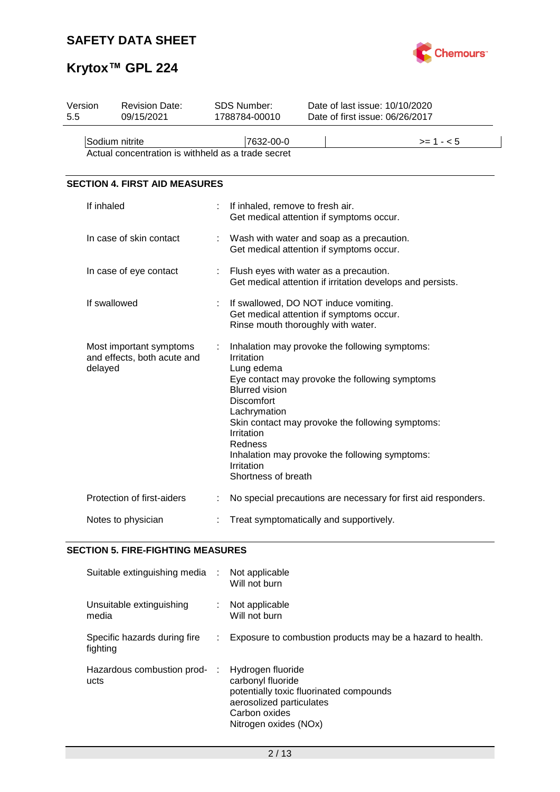

# **Krytox™ GPL 224**

| Version<br>5.5 | <b>Revision Date:</b><br>09/15/2021                                  | SDS Number:<br>1788784-00010                                                                                                                                | Date of last issue: 10/10/2020<br>Date of first issue: 06/26/2017                                                                                                                                      |  |  |  |
|----------------|----------------------------------------------------------------------|-------------------------------------------------------------------------------------------------------------------------------------------------------------|--------------------------------------------------------------------------------------------------------------------------------------------------------------------------------------------------------|--|--|--|
|                | Sodium nitrite<br>Actual concentration is withheld as a trade secret | 7632-00-0                                                                                                                                                   | $>= 1 - 5$                                                                                                                                                                                             |  |  |  |
|                | <b>SECTION 4. FIRST AID MEASURES</b>                                 |                                                                                                                                                             |                                                                                                                                                                                                        |  |  |  |
|                | If inhaled                                                           | If inhaled, remove to fresh air.                                                                                                                            | Get medical attention if symptoms occur.                                                                                                                                                               |  |  |  |
|                | In case of skin contact                                              |                                                                                                                                                             | Wash with water and soap as a precaution.<br>Get medical attention if symptoms occur.                                                                                                                  |  |  |  |
|                | In case of eye contact                                               | Flush eyes with water as a precaution.<br>Get medical attention if irritation develops and persists.                                                        |                                                                                                                                                                                                        |  |  |  |
|                | If swallowed                                                         |                                                                                                                                                             | If swallowed, DO NOT induce vomiting.<br>Get medical attention if symptoms occur.<br>Rinse mouth thoroughly with water.                                                                                |  |  |  |
|                | Most important symptoms<br>and effects, both acute and<br>delayed    | Irritation<br>Lung edema<br><b>Blurred vision</b><br><b>Discomfort</b><br>Lachrymation<br>Irritation<br><b>Redness</b><br>Irritation<br>Shortness of breath | Inhalation may provoke the following symptoms:<br>Eye contact may provoke the following symptoms<br>Skin contact may provoke the following symptoms:<br>Inhalation may provoke the following symptoms: |  |  |  |
|                | Protection of first-aiders                                           |                                                                                                                                                             | No special precautions are necessary for first aid responders.                                                                                                                                         |  |  |  |
|                | Notes to physician                                                   |                                                                                                                                                             | Treat symptomatically and supportively.                                                                                                                                                                |  |  |  |

### **SECTION 5. FIRE-FIGHTING MEASURES**

| Suitable extinguishing media :           |    | Not applicable<br>Will not burn                                                                                                                         |
|------------------------------------------|----|---------------------------------------------------------------------------------------------------------------------------------------------------------|
| Unsuitable extinguishing<br>media        |    | : Not applicable<br>Will not burn                                                                                                                       |
| Specific hazards during fire<br>fighting | ÷. | Exposure to combustion products may be a hazard to health.                                                                                              |
| Hazardous combustion prod-<br>ucts       | ÷  | Hydrogen fluoride<br>carbonyl fluoride<br>potentially toxic fluorinated compounds<br>aerosolized particulates<br>Carbon oxides<br>Nitrogen oxides (NOx) |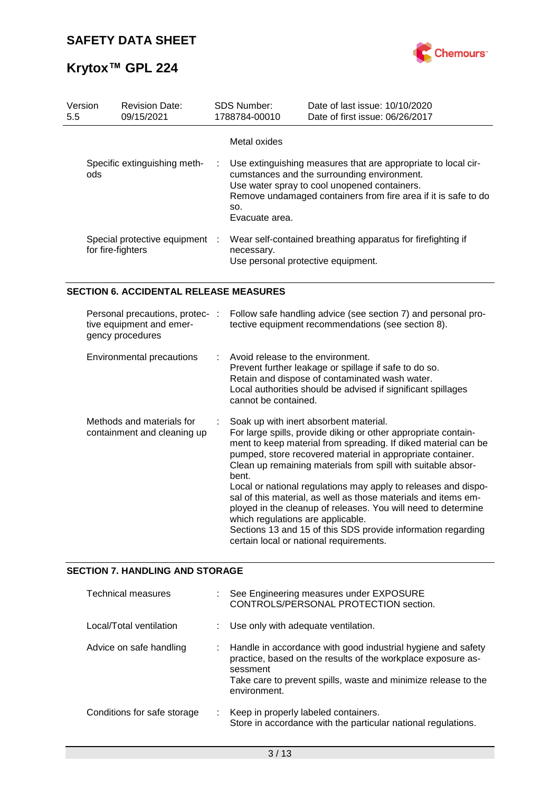

| Version<br>5.5 |     | <b>Revision Date:</b><br>09/15/2021                 | <b>SDS Number:</b><br>1788784-00010   | Date of last issue: 10/10/2020<br>Date of first issue: 06/26/2017                                                                                                                                                              |
|----------------|-----|-----------------------------------------------------|---------------------------------------|--------------------------------------------------------------------------------------------------------------------------------------------------------------------------------------------------------------------------------|
|                | ods | Specific extinguishing meth-                        | Metal oxides<br>SO.<br>Evacuate area. | Use extinguishing measures that are appropriate to local cir-<br>cumstances and the surrounding environment.<br>Use water spray to cool unopened containers.<br>Remove undamaged containers from fire area if it is safe to do |
|                |     | Special protective equipment :<br>for fire-fighters | necessary.                            | Wear self-contained breathing apparatus for firefighting if<br>Use personal protective equipment.                                                                                                                              |

### **SECTION 6. ACCIDENTAL RELEASE MEASURES**

| Personal precautions, protec-:<br>tive equipment and emer-<br>gency procedures | Follow safe handling advice (see section 7) and personal pro-<br>tective equipment recommendations (see section 8).                                                                                                                                                                                                                                                                                                                                                                                                                                                                                                                                                    |
|--------------------------------------------------------------------------------|------------------------------------------------------------------------------------------------------------------------------------------------------------------------------------------------------------------------------------------------------------------------------------------------------------------------------------------------------------------------------------------------------------------------------------------------------------------------------------------------------------------------------------------------------------------------------------------------------------------------------------------------------------------------|
| Environmental precautions                                                      | Avoid release to the environment.<br>Prevent further leakage or spillage if safe to do so.<br>Retain and dispose of contaminated wash water.<br>Local authorities should be advised if significant spillages<br>cannot be contained.                                                                                                                                                                                                                                                                                                                                                                                                                                   |
| Methods and materials for<br>containment and cleaning up                       | Soak up with inert absorbent material.<br>For large spills, provide diking or other appropriate contain-<br>ment to keep material from spreading. If diked material can be<br>pumped, store recovered material in appropriate container.<br>Clean up remaining materials from spill with suitable absor-<br>bent.<br>Local or national regulations may apply to releases and dispo-<br>sal of this material, as well as those materials and items em-<br>ployed in the cleanup of releases. You will need to determine<br>which regulations are applicable.<br>Sections 13 and 15 of this SDS provide information regarding<br>certain local or national requirements. |

### **SECTION 7. HANDLING AND STORAGE**

| <b>Technical measures</b>   | See Engineering measures under EXPOSURE<br>CONTROLS/PERSONAL PROTECTION section.                                                                                                                                           |
|-----------------------------|----------------------------------------------------------------------------------------------------------------------------------------------------------------------------------------------------------------------------|
| Local/Total ventilation     | Use only with adequate ventilation.                                                                                                                                                                                        |
| Advice on safe handling     | Handle in accordance with good industrial hygiene and safety<br>practice, based on the results of the workplace exposure as-<br>sessment<br>Take care to prevent spills, waste and minimize release to the<br>environment. |
| Conditions for safe storage | Keep in properly labeled containers.<br>Store in accordance with the particular national regulations.                                                                                                                      |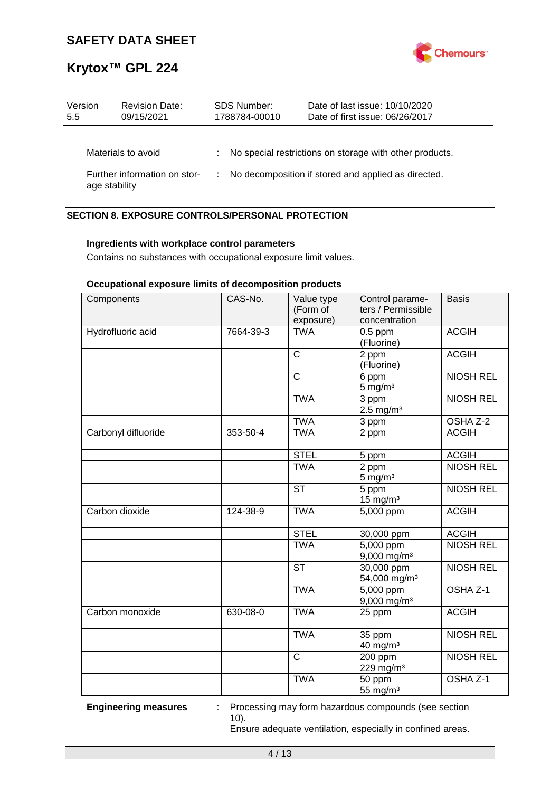

| Version<br>5.5 | <b>Revision Date:</b><br>09/15/2021 | <b>SDS Number:</b><br>1788784-00010 | Date of last issue: 10/10/2020<br>Date of first issue: 06/26/2017 |
|----------------|-------------------------------------|-------------------------------------|-------------------------------------------------------------------|
|                | Materials to avoid                  |                                     | : No special restrictions on storage with other products.         |
| age stability  | Further information on stor-        |                                     | No decomposition if stored and applied as directed.               |

### **SECTION 8. EXPOSURE CONTROLS/PERSONAL PROTECTION**

### **Ingredients with workplace control parameters**

Contains no substances with occupational exposure limit values.

### **Occupational exposure limits of decomposition products**

| Components          | CAS-No.   | Value type<br>(Form of<br>exposure) | Control parame-<br>ters / Permissible<br>concentration | <b>Basis</b>     |
|---------------------|-----------|-------------------------------------|--------------------------------------------------------|------------------|
| Hydrofluoric acid   | 7664-39-3 | <b>TWA</b>                          | $0.5$ ppm<br>(Fluorine)                                | <b>ACGIH</b>     |
|                     |           | $\overline{\text{c}}$               | 2 ppm<br>(Fluorine)                                    | <b>ACGIH</b>     |
|                     |           | $\overline{\text{c}}$               | 6 ppm<br>$5 \text{ mg/m}^3$                            | <b>NIOSH REL</b> |
|                     |           | <b>TWA</b>                          | 3 ppm<br>$2.5$ mg/m <sup>3</sup>                       | <b>NIOSH REL</b> |
|                     |           | <b>TWA</b>                          | 3 ppm                                                  | OSHA Z-2         |
| Carbonyl difluoride | 353-50-4  | <b>TWA</b>                          | 2 ppm                                                  | <b>ACGIH</b>     |
|                     |           | <b>STEL</b>                         | 5 ppm                                                  | <b>ACGIH</b>     |
|                     |           | <b>TWA</b>                          | 2 ppm<br>$5$ mg/m <sup>3</sup>                         | <b>NIOSH REL</b> |
|                     |           | <b>ST</b>                           | 5 ppm<br>$15$ mg/m <sup>3</sup>                        | <b>NIOSH REL</b> |
| Carbon dioxide      | 124-38-9  | <b>TWA</b>                          | 5,000 ppm                                              | <b>ACGIH</b>     |
|                     |           | <b>STEL</b>                         | 30,000 ppm                                             | <b>ACGIH</b>     |
|                     |           | <b>TWA</b>                          | $5,000$ ppm<br>9,000 mg/m <sup>3</sup>                 | <b>NIOSH REL</b> |
|                     |           | <b>ST</b>                           | 30,000 ppm<br>54,000 mg/m <sup>3</sup>                 | <b>NIOSH REL</b> |
|                     |           | <b>TWA</b>                          | 5,000 ppm<br>$9,000$ mg/m <sup>3</sup>                 | OSHA Z-1         |
| Carbon monoxide     | 630-08-0  | <b>TWA</b>                          | 25 ppm                                                 | <b>ACGIH</b>     |
|                     |           | <b>TWA</b>                          | 35 ppm<br>$40$ mg/m <sup>3</sup>                       | <b>NIOSH REL</b> |
|                     |           | $\overline{\text{c}}$               | 200 ppm<br>229 mg/m <sup>3</sup>                       | <b>NIOSH REL</b> |
|                     |           | <b>TWA</b>                          | 50 ppm<br>55 mg/m <sup>3</sup>                         | OSHA Z-1         |

**Engineering measures** : Processing may form hazardous compounds (see section 10).

Ensure adequate ventilation, especially in confined areas.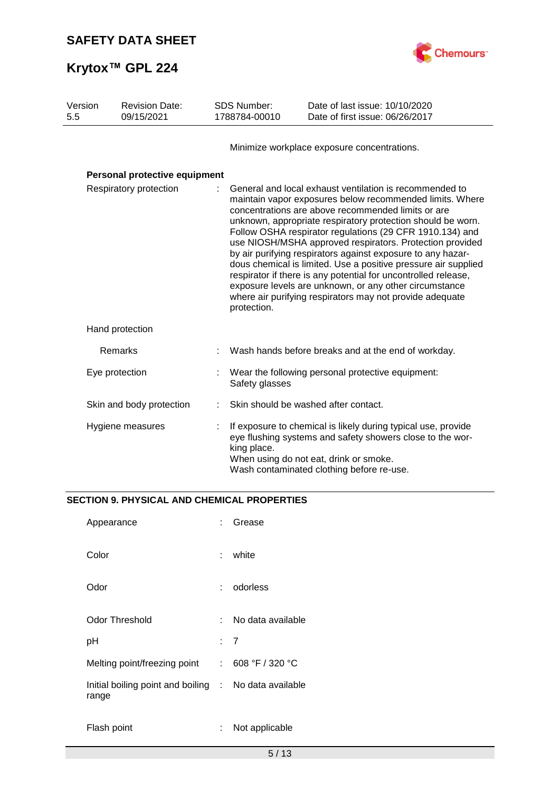

| Version<br>5.5         | <b>Revision Date:</b><br>09/15/2021 | SDS Number:<br>1788784-00010                                                                                                                                                                                                                                                                                                                                                                                                                                                                                                                                                                                                                                                                             | Date of last issue: 10/10/2020<br>Date of first issue: 06/26/2017                                                                                                                                                 |  |
|------------------------|-------------------------------------|----------------------------------------------------------------------------------------------------------------------------------------------------------------------------------------------------------------------------------------------------------------------------------------------------------------------------------------------------------------------------------------------------------------------------------------------------------------------------------------------------------------------------------------------------------------------------------------------------------------------------------------------------------------------------------------------------------|-------------------------------------------------------------------------------------------------------------------------------------------------------------------------------------------------------------------|--|
|                        |                                     |                                                                                                                                                                                                                                                                                                                                                                                                                                                                                                                                                                                                                                                                                                          | Minimize workplace exposure concentrations.                                                                                                                                                                       |  |
|                        | Personal protective equipment       |                                                                                                                                                                                                                                                                                                                                                                                                                                                                                                                                                                                                                                                                                                          |                                                                                                                                                                                                                   |  |
| Respiratory protection |                                     | General and local exhaust ventilation is recommended to<br>maintain vapor exposures below recommended limits. Where<br>concentrations are above recommended limits or are<br>unknown, appropriate respiratory protection should be worn.<br>Follow OSHA respirator regulations (29 CFR 1910.134) and<br>use NIOSH/MSHA approved respirators. Protection provided<br>by air purifying respirators against exposure to any hazar-<br>dous chemical is limited. Use a positive pressure air supplied<br>respirator if there is any potential for uncontrolled release,<br>exposure levels are unknown, or any other circumstance<br>where air purifying respirators may not provide adequate<br>protection. |                                                                                                                                                                                                                   |  |
|                        | Hand protection                     |                                                                                                                                                                                                                                                                                                                                                                                                                                                                                                                                                                                                                                                                                                          |                                                                                                                                                                                                                   |  |
|                        | Remarks                             |                                                                                                                                                                                                                                                                                                                                                                                                                                                                                                                                                                                                                                                                                                          | Wash hands before breaks and at the end of workday.                                                                                                                                                               |  |
|                        | Eye protection                      | Safety glasses                                                                                                                                                                                                                                                                                                                                                                                                                                                                                                                                                                                                                                                                                           | Wear the following personal protective equipment:                                                                                                                                                                 |  |
|                        | Skin and body protection            |                                                                                                                                                                                                                                                                                                                                                                                                                                                                                                                                                                                                                                                                                                          | Skin should be washed after contact.                                                                                                                                                                              |  |
|                        | Hygiene measures                    | king place.                                                                                                                                                                                                                                                                                                                                                                                                                                                                                                                                                                                                                                                                                              | If exposure to chemical is likely during typical use, provide<br>eye flushing systems and safety showers close to the wor-<br>When using do not eat, drink or smoke.<br>Wash contaminated clothing before re-use. |  |

## **SECTION 9. PHYSICAL AND CHEMICAL PROPERTIES**

| Appearance                                                     |     | Grease            |
|----------------------------------------------------------------|-----|-------------------|
| Color                                                          | t.  | white             |
| Odor                                                           | × 1 | odorless          |
| Odor Threshold                                                 |     | No data available |
| рH                                                             |     | : 7               |
| Melting point/freezing point                                   | t.  | 608 °F / 320 °C   |
| Initial boiling point and boiling : No data available<br>range |     |                   |
| Flash point                                                    |     | Not applicable    |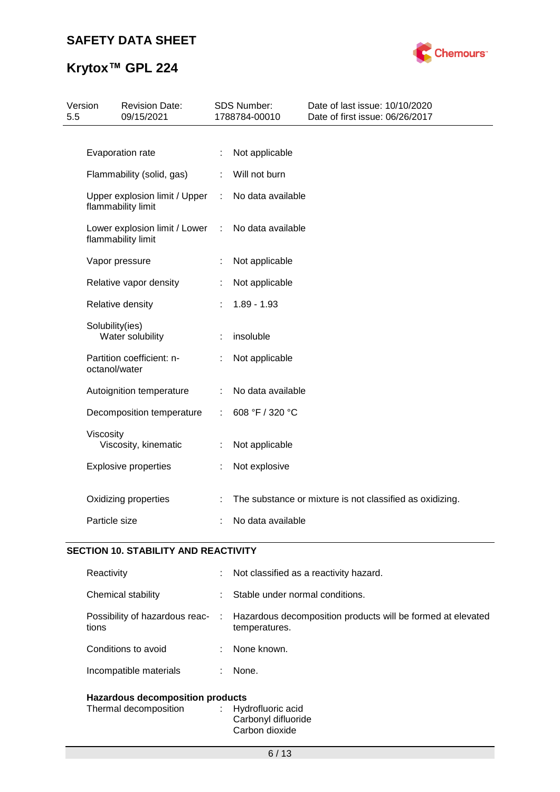# **Krytox™ GPL 224**



| 5.5 | Version         | <b>Revision Date:</b><br>09/15/2021                 |   | <b>SDS Number:</b><br>1788784-00010 | Date of last issue: 10/10/2020<br>Date of first issue: 06/26/2017 |
|-----|-----------------|-----------------------------------------------------|---|-------------------------------------|-------------------------------------------------------------------|
|     |                 |                                                     |   |                                     |                                                                   |
|     |                 | Evaporation rate                                    | ÷ | Not applicable                      |                                                                   |
|     |                 | Flammability (solid, gas)                           | ÷ | Will not burn                       |                                                                   |
|     |                 | Upper explosion limit / Upper<br>flammability limit | ÷ | No data available                   |                                                                   |
|     |                 | Lower explosion limit / Lower<br>flammability limit | ÷ | No data available                   |                                                                   |
|     |                 | Vapor pressure                                      |   | Not applicable                      |                                                                   |
|     |                 | Relative vapor density                              |   | Not applicable                      |                                                                   |
|     |                 | Relative density                                    |   | $1.89 - 1.93$                       |                                                                   |
|     | Solubility(ies) | Water solubility                                    |   | insoluble                           |                                                                   |
|     | octanol/water   | Partition coefficient: n-                           |   | Not applicable                      |                                                                   |
|     |                 | Autoignition temperature                            | ÷ | No data available                   |                                                                   |
|     |                 | Decomposition temperature                           | ÷ | 608 °F / 320 °C                     |                                                                   |
|     | Viscosity       | Viscosity, kinematic                                |   | Not applicable                      |                                                                   |
|     |                 | <b>Explosive properties</b>                         |   | Not explosive                       |                                                                   |
|     |                 | Oxidizing properties                                |   |                                     | The substance or mixture is not classified as oxidizing.          |
|     | Particle size   |                                                     |   | No data available                   |                                                                   |

### **SECTION 10. STABILITY AND REACTIVITY**

| Reactivity                                                                            | t.   | Not classified as a reactivity hazard.                                       |  |
|---------------------------------------------------------------------------------------|------|------------------------------------------------------------------------------|--|
| Chemical stability                                                                    | t.   | Stable under normal conditions.                                              |  |
| Possibility of hazardous reac-<br>tions                                               | di s | Hazardous decomposition products will be formed at elevated<br>temperatures. |  |
| Conditions to avoid                                                                   | ÷    | None known.                                                                  |  |
| Incompatible materials                                                                | ÷    | None.                                                                        |  |
| <b>Hazardous decomposition products</b><br>Thermal decomposition<br>Hydrofluoric acid |      |                                                                              |  |

### Carbonyl difluoride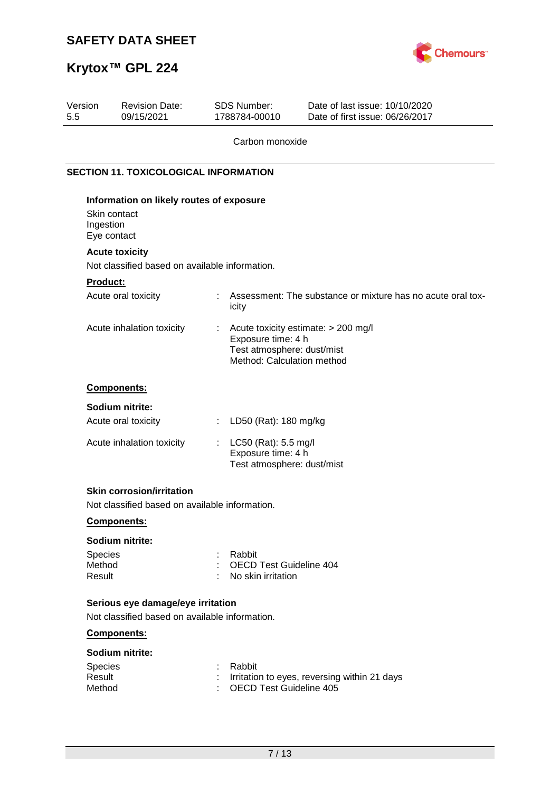

# **Krytox™ GPL 224**

| <b>Revision Date:</b><br>09/15/2021 | <b>SDS Number:</b><br>1788784-00010 | Date of last issue: 10/10/2020<br>Date of first issue: 06/26/2017                                                                                                                                                                                                                                                                                                                                                                                                                                                                                     |
|-------------------------------------|-------------------------------------|-------------------------------------------------------------------------------------------------------------------------------------------------------------------------------------------------------------------------------------------------------------------------------------------------------------------------------------------------------------------------------------------------------------------------------------------------------------------------------------------------------------------------------------------------------|
|                                     |                                     |                                                                                                                                                                                                                                                                                                                                                                                                                                                                                                                                                       |
|                                     |                                     |                                                                                                                                                                                                                                                                                                                                                                                                                                                                                                                                                       |
|                                     |                                     |                                                                                                                                                                                                                                                                                                                                                                                                                                                                                                                                                       |
|                                     |                                     |                                                                                                                                                                                                                                                                                                                                                                                                                                                                                                                                                       |
| Ingestion                           |                                     |                                                                                                                                                                                                                                                                                                                                                                                                                                                                                                                                                       |
|                                     |                                     |                                                                                                                                                                                                                                                                                                                                                                                                                                                                                                                                                       |
| <b>Acute toxicity</b>               |                                     |                                                                                                                                                                                                                                                                                                                                                                                                                                                                                                                                                       |
|                                     |                                     |                                                                                                                                                                                                                                                                                                                                                                                                                                                                                                                                                       |
| <b>Product:</b>                     |                                     |                                                                                                                                                                                                                                                                                                                                                                                                                                                                                                                                                       |
| Acute oral toxicity                 | ÷<br>icity                          | Assessment: The substance or mixture has no acute oral tox-                                                                                                                                                                                                                                                                                                                                                                                                                                                                                           |
| Acute inhalation toxicity           | t                                   | Acute toxicity estimate: > 200 mg/l                                                                                                                                                                                                                                                                                                                                                                                                                                                                                                                   |
|                                     |                                     |                                                                                                                                                                                                                                                                                                                                                                                                                                                                                                                                                       |
|                                     |                                     |                                                                                                                                                                                                                                                                                                                                                                                                                                                                                                                                                       |
| Components:                         |                                     |                                                                                                                                                                                                                                                                                                                                                                                                                                                                                                                                                       |
| Sodium nitrite:                     |                                     |                                                                                                                                                                                                                                                                                                                                                                                                                                                                                                                                                       |
| Acute oral toxicity                 | ÷                                   |                                                                                                                                                                                                                                                                                                                                                                                                                                                                                                                                                       |
| Acute inhalation toxicity           | t,                                  |                                                                                                                                                                                                                                                                                                                                                                                                                                                                                                                                                       |
| <b>Skin corrosion/irritation</b>    |                                     |                                                                                                                                                                                                                                                                                                                                                                                                                                                                                                                                                       |
|                                     |                                     |                                                                                                                                                                                                                                                                                                                                                                                                                                                                                                                                                       |
| Components:                         |                                     |                                                                                                                                                                                                                                                                                                                                                                                                                                                                                                                                                       |
| Sodium nitrite:                     |                                     |                                                                                                                                                                                                                                                                                                                                                                                                                                                                                                                                                       |
| Species                             | Rabbit                              |                                                                                                                                                                                                                                                                                                                                                                                                                                                                                                                                                       |
| Method                              |                                     |                                                                                                                                                                                                                                                                                                                                                                                                                                                                                                                                                       |
| Result                              |                                     |                                                                                                                                                                                                                                                                                                                                                                                                                                                                                                                                                       |
|                                     |                                     |                                                                                                                                                                                                                                                                                                                                                                                                                                                                                                                                                       |
|                                     |                                     |                                                                                                                                                                                                                                                                                                                                                                                                                                                                                                                                                       |
| Components:                         |                                     |                                                                                                                                                                                                                                                                                                                                                                                                                                                                                                                                                       |
| Sodium nitrite:                     |                                     |                                                                                                                                                                                                                                                                                                                                                                                                                                                                                                                                                       |
| Species                             | Rabbit                              |                                                                                                                                                                                                                                                                                                                                                                                                                                                                                                                                                       |
| Result                              |                                     | Irritation to eyes, reversing within 21 days                                                                                                                                                                                                                                                                                                                                                                                                                                                                                                          |
|                                     | Skin contact<br>Eye contact         | Carbon monoxide<br><b>SECTION 11. TOXICOLOGICAL INFORMATION</b><br>Information on likely routes of exposure<br>Not classified based on available information.<br>Exposure time: 4 h<br>Test atmosphere: dust/mist<br>Method: Calculation method<br>LD50 (Rat): 180 mg/kg<br>LC50 (Rat): 5.5 mg/l<br>Exposure time: 4 h<br>Test atmosphere: dust/mist<br>Not classified based on available information.<br><b>OECD Test Guideline 404</b><br>No skin irritation<br>Serious eye damage/eye irritation<br>Not classified based on available information. |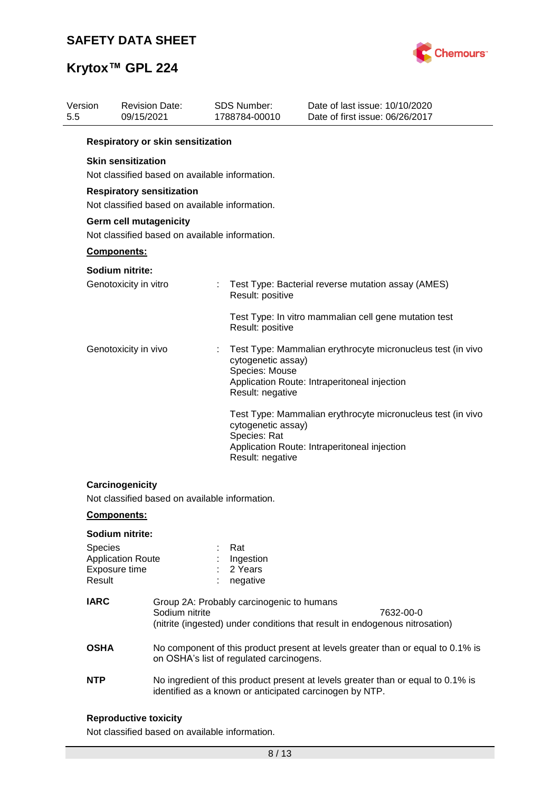

| Version<br>5.5    | <b>Revision Date:</b><br>09/15/2021                                                |                                                                                                                                                         | <b>SDS Number:</b><br>1788784-00010                      | Date of last issue: 10/10/2020<br>Date of first issue: 06/26/2017                                                                           |  |  |  |
|-------------------|------------------------------------------------------------------------------------|---------------------------------------------------------------------------------------------------------------------------------------------------------|----------------------------------------------------------|---------------------------------------------------------------------------------------------------------------------------------------------|--|--|--|
|                   | Respiratory or skin sensitization                                                  |                                                                                                                                                         |                                                          |                                                                                                                                             |  |  |  |
|                   | <b>Skin sensitization</b><br>Not classified based on available information.        |                                                                                                                                                         |                                                          |                                                                                                                                             |  |  |  |
|                   | <b>Respiratory sensitization</b><br>Not classified based on available information. |                                                                                                                                                         |                                                          |                                                                                                                                             |  |  |  |
|                   | Germ cell mutagenicity<br>Not classified based on available information.           |                                                                                                                                                         |                                                          |                                                                                                                                             |  |  |  |
|                   | Components:                                                                        |                                                                                                                                                         |                                                          |                                                                                                                                             |  |  |  |
|                   | Sodium nitrite:                                                                    |                                                                                                                                                         |                                                          |                                                                                                                                             |  |  |  |
|                   | Genotoxicity in vitro                                                              |                                                                                                                                                         | Result: positive                                         | Test Type: Bacterial reverse mutation assay (AMES)                                                                                          |  |  |  |
|                   |                                                                                    |                                                                                                                                                         | Result: positive                                         | Test Type: In vitro mammalian cell gene mutation test                                                                                       |  |  |  |
|                   | Genotoxicity in vivo                                                               |                                                                                                                                                         | cytogenetic assay)<br>Species: Mouse<br>Result: negative | Test Type: Mammalian erythrocyte micronucleus test (in vivo<br>Application Route: Intraperitoneal injection                                 |  |  |  |
|                   |                                                                                    |                                                                                                                                                         | cytogenetic assay)<br>Species: Rat<br>Result: negative   | Test Type: Mammalian erythrocyte micronucleus test (in vivo<br>Application Route: Intraperitoneal injection                                 |  |  |  |
|                   | Carcinogenicity<br>Not classified based on available information.                  |                                                                                                                                                         |                                                          |                                                                                                                                             |  |  |  |
|                   | <b>Components:</b>                                                                 |                                                                                                                                                         |                                                          |                                                                                                                                             |  |  |  |
|                   | Sodium nitrite:                                                                    |                                                                                                                                                         |                                                          |                                                                                                                                             |  |  |  |
| Species<br>Result | <b>Application Route</b><br>Exposure time                                          |                                                                                                                                                         | Rat<br>Ingestion<br>2 Years<br>negative                  |                                                                                                                                             |  |  |  |
| <b>IARC</b>       |                                                                                    | Group 2A: Probably carcinogenic to humans<br>Sodium nitrite<br>7632-00-0<br>(nitrite (ingested) under conditions that result in endogenous nitrosation) |                                                          |                                                                                                                                             |  |  |  |
| <b>OSHA</b>       |                                                                                    |                                                                                                                                                         | on OSHA's list of regulated carcinogens.                 | No component of this product present at levels greater than or equal to 0.1% is                                                             |  |  |  |
| <b>NTP</b>        |                                                                                    |                                                                                                                                                         |                                                          | No ingredient of this product present at levels greater than or equal to 0.1% is<br>identified as a known or anticipated carcinogen by NTP. |  |  |  |
|                   |                                                                                    |                                                                                                                                                         |                                                          |                                                                                                                                             |  |  |  |

## **Reproductive toxicity**

Not classified based on available information.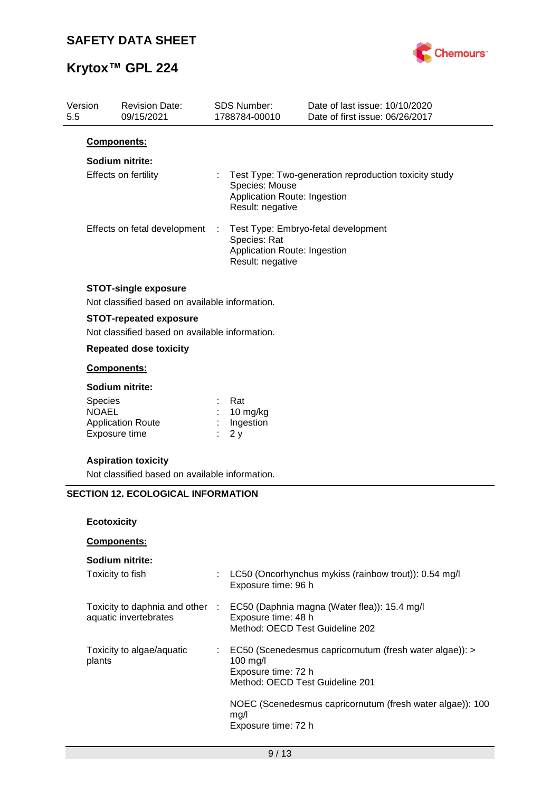

| Version<br>5.5 | <b>Revision Date:</b><br>09/15/2021                                           |   | <b>SDS Number:</b><br>1788784-00010                                | Date of last issue: 10/10/2020<br>Date of first issue: 06/26/2017 |
|----------------|-------------------------------------------------------------------------------|---|--------------------------------------------------------------------|-------------------------------------------------------------------|
|                | Components:                                                                   |   |                                                                    |                                                                   |
|                | Sodium nitrite:                                                               |   |                                                                    |                                                                   |
|                | Effects on fertility                                                          |   | Species: Mouse<br>Application Route: Ingestion<br>Result: negative | Test Type: Two-generation reproduction toxicity study             |
|                | Effects on fetal development                                                  | ÷ | Species: Rat<br>Application Route: Ingestion<br>Result: negative   | Test Type: Embryo-fetal development                               |
|                | <b>STOT-single exposure</b><br>Not classified based on available information. |   |                                                                    |                                                                   |
|                | <b>STOT-repeated exposure</b>                                                 |   |                                                                    |                                                                   |
|                | Not classified based on available information.                                |   |                                                                    |                                                                   |
|                | <b>Repeated dose toxicity</b>                                                 |   |                                                                    |                                                                   |
|                | Components:                                                                   |   |                                                                    |                                                                   |
|                | Sodium nitrite:                                                               |   |                                                                    |                                                                   |
|                | <b>Species</b>                                                                |   | Rat                                                                |                                                                   |
|                | <b>NOAEL</b>                                                                  |   | 10 mg/kg                                                           |                                                                   |
|                | <b>Application Route</b><br>Exposure time                                     |   | Ingestion<br>2y                                                    |                                                                   |
|                | <b>Aspiration toxicity</b>                                                    |   |                                                                    |                                                                   |
|                | Not classified based on available information.                                |   |                                                                    |                                                                   |
|                | <b>SECTION 12. ECOLOGICAL INFORMATION</b>                                     |   |                                                                    |                                                                   |
|                |                                                                               |   |                                                                    |                                                                   |
|                | <b>Ecotoxicity</b>                                                            |   |                                                                    |                                                                   |
|                | Components:                                                                   |   |                                                                    |                                                                   |
|                | Sodium nitrite:                                                               |   |                                                                    |                                                                   |
|                | Toxicity to fish                                                              |   | Exposure time: 96 h                                                | LC50 (Oncorhynchus mykiss (rainbow trout)): 0.54 mg/l             |
|                | Toxicity to daphnia and other :                                               |   |                                                                    | EC50 (Daphnia magna (Water flea)): 15.4 mg/l                      |
|                | aquatic invertebrates                                                         |   | Exposure time: 48 h<br>Method: OECD Test Guideline 202             |                                                                   |
|                | Toxicity to algae/aquatic<br>plants                                           |   | 100 mg/l<br>Exposure time: 72 h<br>Method: OECD Test Guideline 201 | EC50 (Scenedesmus capricornutum (fresh water algae)): >           |
|                |                                                                               |   | mg/l<br>Exposure time: 72 h                                        | NOEC (Scenedesmus capricornutum (fresh water algae)): 100         |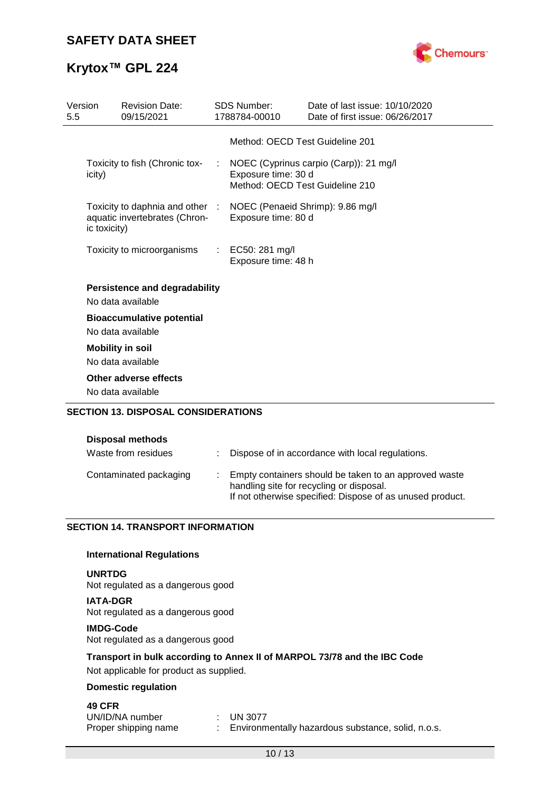

| Version<br>5.5 |              | <b>Revision Date:</b><br>09/15/2021                                                               | <b>SDS Number:</b><br>1788784-00010     | Date of last issue: 10/10/2020<br>Date of first issue: 06/26/2017           |
|----------------|--------------|---------------------------------------------------------------------------------------------------|-----------------------------------------|-----------------------------------------------------------------------------|
|                |              |                                                                                                   | Method: OECD Test Guideline 201         |                                                                             |
|                | icity)       | Toxicity to fish (Chronic tox-                                                                    | Exposure time: 30 d                     | : NOEC (Cyprinus carpio (Carp)): 21 mg/l<br>Method: OECD Test Guideline 210 |
|                | ic toxicity) | Toxicity to daphnia and other : NOEC (Penaeid Shrimp): 9.86 mg/l<br>aquatic invertebrates (Chron- | Exposure time: 80 d                     |                                                                             |
|                |              | Toxicity to microorganisms                                                                        | : EC50: 281 mg/l<br>Exposure time: 48 h |                                                                             |
|                |              | <b>Persistence and degradability</b><br>No data available                                         |                                         |                                                                             |
|                |              | <b>Bioaccumulative potential</b><br>No data available                                             |                                         |                                                                             |
|                |              | <b>Mobility in soil</b><br>No data available                                                      |                                         |                                                                             |
|                |              | Other adverse effects<br>No data available                                                        |                                         |                                                                             |
|                |              | <b>SECTION 13. DISPOSAL CONSIDERATIONS</b>                                                        |                                         |                                                                             |

| <b>Disposal methods</b> |
|-------------------------|
|                         |

| Waste from residues    | : Dispose of in accordance with local regulations.                                                                                                             |
|------------------------|----------------------------------------------------------------------------------------------------------------------------------------------------------------|
| Contaminated packaging | Empty containers should be taken to an approved waste<br>handling site for recycling or disposal.<br>If not otherwise specified: Dispose of as unused product. |

### **SECTION 14. TRANSPORT INFORMATION**

### **International Regulations**

### **UNRTDG**

Not regulated as a dangerous good

**IATA-DGR** Not regulated as a dangerous good

#### **IMDG-Code**

Not regulated as a dangerous good

### **Transport in bulk according to Annex II of MARPOL 73/78 and the IBC Code**

Not applicable for product as supplied.

### **Domestic regulation**

### **49 CFR**

| UN/ID/NA number      | $\therefore$ UN 3077                               |
|----------------------|----------------------------------------------------|
| Proper shipping name | Environmentally hazardous substance, solid, n.o.s. |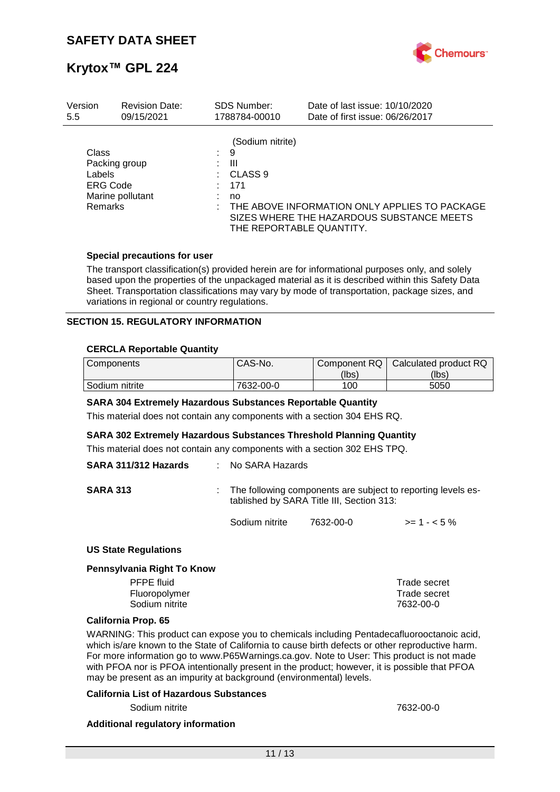

| Version                                                               | <b>Revision Date:</b> |    | <b>SDS Number:</b>                                                                        | Date of last issue: 10/10/2020                                                             |
|-----------------------------------------------------------------------|-----------------------|----|-------------------------------------------------------------------------------------------|--------------------------------------------------------------------------------------------|
| 5.5                                                                   | 09/15/2021            |    | 1788784-00010                                                                             | Date of first issue: 06/26/2017                                                            |
| Class<br>Packing group<br>Labels<br><b>ERG Code</b><br><b>Remarks</b> | Marine pollutant      | t. | (Sodium nitrite)<br>9<br>Ш<br>CLASS <sub>9</sub><br>171<br>no<br>THE REPORTABLE QUANTITY. | THE ABOVE INFORMATION ONLY APPLIES TO PACKAGE<br>SIZES WHERE THE HAZARDOUS SUBSTANCE MEETS |

### **Special precautions for user**

The transport classification(s) provided herein are for informational purposes only, and solely based upon the properties of the unpackaged material as it is described within this Safety Data Sheet. Transportation classifications may vary by mode of transportation, package sizes, and variations in regional or country regulations.

### **SECTION 15. REGULATORY INFORMATION**

### **CERCLA Reportable Quantity**

| Components     | CAS-No.   | Component RQ | Calculated product RQ |
|----------------|-----------|--------------|-----------------------|
|                |           | (lbs)        | (lbs)                 |
| Sodium nitrite | 7632-00-0 | 100          | 5050                  |

#### **SARA 304 Extremely Hazardous Substances Reportable Quantity**

This material does not contain any components with a section 304 EHS RQ.

#### **SARA 302 Extremely Hazardous Substances Threshold Planning Quantity**

This material does not contain any components with a section 302 EHS TPQ.

| SARA 311/312 Hazards | : No SARA Hazards |                                                                                                             |              |
|----------------------|-------------------|-------------------------------------------------------------------------------------------------------------|--------------|
| <b>SARA 313</b>      |                   | : The following components are subject to reporting levels es-<br>tablished by SARA Title III, Section 313: |              |
|                      | Sodium nitrite    | 7632-00-0                                                                                                   | $>= 1 - 5\%$ |

#### **US State Regulations**

#### **Pennsylvania Right To Know**

| <b>PFPE</b> fluid | Trade secret |
|-------------------|--------------|
| Fluoropolymer     | Trade secret |
| Sodium nitrite    | 7632-00-0    |
|                   |              |

#### **California Prop. 65**

WARNING: This product can expose you to chemicals including Pentadecafluorooctanoic acid, which is/are known to the State of California to cause birth defects or other reproductive harm. For more information go to www.P65Warnings.ca.gov. Note to User: This product is not made with PFOA nor is PFOA intentionally present in the product; however, it is possible that PFOA may be present as an impurity at background (environmental) levels.

#### **California List of Hazardous Substances**

Sodium nitrite 7632-00-0

#### **Additional regulatory information**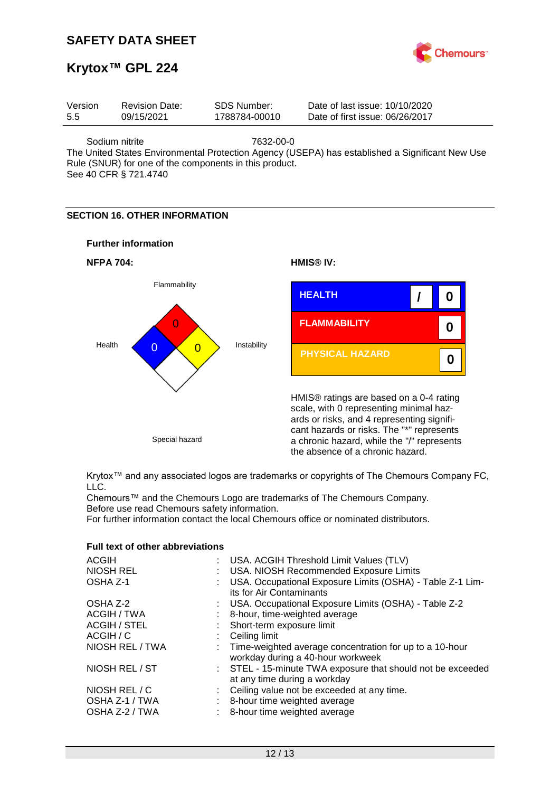

# **Krytox™ GPL 224**

| Version | <b>Revision Date:</b> | SDS Number:   | Date of last issue: 10/10/2020  |
|---------|-----------------------|---------------|---------------------------------|
| 5.5     | 09/15/2021            | 1788784-00010 | Date of first issue: 06/26/2017 |
|         |                       |               |                                 |

Sodium nitrite 7632-00-0

The United States Environmental Protection Agency (USEPA) has established a Significant New Use Rule (SNUR) for one of the components in this product.

See 40 CFR § 721.4740

### **SECTION 16. OTHER INFORMATION**





Krytox™ and any associated logos are trademarks or copyrights of The Chemours Company FC, LLC.

Chemours™ and the Chemours Logo are trademarks of The Chemours Company. Before use read Chemours safety information.

For further information contact the local Chemours office or nominated distributors.

| <b>ACGIH</b>                                      | : USA. ACGIH Threshold Limit Values (TLV)                                                                    |
|---------------------------------------------------|--------------------------------------------------------------------------------------------------------------|
| <b>NIOSH REL</b>                                  | : USA. NIOSH Recommended Exposure Limits                                                                     |
| OSHA Z-1                                          | : USA. Occupational Exposure Limits (OSHA) - Table Z-1 Lim-<br>its for Air Contaminants                      |
| OSHA Z-2                                          | : USA. Occupational Exposure Limits (OSHA) - Table Z-2                                                       |
| ACGIH / TWA                                       | 8-hour, time-weighted average                                                                                |
| <b>ACGIH / STEL</b>                               | : Short-term exposure limit                                                                                  |
| ACGIH / C                                         | $\therefore$ Ceiling limit                                                                                   |
| NIOSH REL / TWA                                   | : Time-weighted average concentration for up to a 10-hour<br>workday during a 40-hour workweek               |
| NIOSH REL / ST                                    | : STEL - 15-minute TWA exposure that should not be exceeded<br>at any time during a workday                  |
| NIOSH REL / C<br>OSHA Z-1 / TWA<br>OSHA Z-2 / TWA | : Ceiling value not be exceeded at any time.<br>8-hour time weighted average<br>8-hour time weighted average |